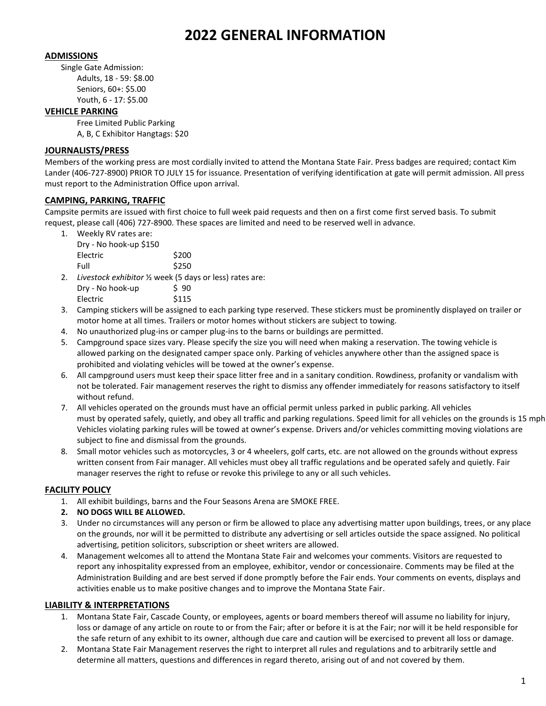# **2022 GENERAL INFORMATION**

#### **ADMISSIONS**

Single Gate Admission: Adults, 18 - 59: \$8.00 Seniors, 60+: \$5.00 Youth, 6 - 17: \$5.00

#### **VEHICLE PARKING**

Free Limited Public Parking A, B, C Exhibitor Hangtags: \$20

#### **JOURNALISTS/PRESS**

Members of the working press are most cordially invited to attend the Montana State Fair. Press badges are required; contact Kim Lander (406-727-8900) PRIOR TO JULY 15 for issuance. Presentation of verifying identification at gate will permit admission. All press must report to the Administration Office upon arrival.

#### **CAMPING, PARKING, TRAFFIC**

Campsite permits are issued with first choice to full week paid requests and then on a first come first served basis. To submit request, please call (406) 727-8900. These spaces are limited and need to be reserved well in advance.

| 1. | Weekly RV rates are: |  |
|----|----------------------|--|
|    | <b>PUBLIC LIPS</b>   |  |

| \$200 |
|-------|
| \$250 |
|       |

- 2. *Livestock exhibitor* ½ week (5 days or less) rates are:  $Dry - No hook-up$  \$ 90 Electric \$115
- 3. Camping stickers will be assigned to each parking type reserved. These stickers must be prominently displayed on trailer or motor home at all times. Trailers or motor homes without stickers are subject to towing.
- 4. No unauthorized plug-ins or camper plug-ins to the barns or buildings are permitted.
- 5. Campground space sizes vary. Please specify the size you will need when making a reservation. The towing vehicle is allowed parking on the designated camper space only. Parking of vehicles anywhere other than the assigned space is prohibited and violating vehicles will be towed at the owner's expense.
- 6. All campground users must keep their space litter free and in a sanitary condition. Rowdiness, profanity or vandalism with not be tolerated. Fair management reserves the right to dismiss any offender immediately for reasons satisfactory to itself without refund.
- 7. All vehicles operated on the grounds must have an official permit unless parked in public parking. All vehicles must by operated safely, quietly, and obey all traffic and parking regulations. Speed limit for all vehicles on the grounds is 15 mph. Vehicles violating parking rules will be towed at owner's expense. Drivers and/or vehicles committing moving violations are subject to fine and dismissal from the grounds.
- 8. Small motor vehicles such as motorcycles, 3 or 4 wheelers, golf carts, etc. are not allowed on the grounds without express written consent from Fair manager. All vehicles must obey all traffic regulations and be operated safely and quietly. Fair manager reserves the right to refuse or revoke this privilege to any or all such vehicles.

#### **FACILITY POLICY**

- 1. All exhibit buildings, barns and the Four Seasons Arena are SMOKE FREE.
- **2. NO DOGS WILL BE ALLOWED.**
- 3. Under no circumstances will any person or firm be allowed to place any advertising matter upon buildings, trees, or any place on the grounds, nor will it be permitted to distribute any advertising or sell articles outside the space assigned. No political advertising, petition solicitors, subscription or sheet writers are allowed.
- 4. Management welcomes all to attend the Montana State Fair and welcomes your comments. Visitors are requested to report any inhospitality expressed from an employee, exhibitor, vendor or concessionaire. Comments may be filed at the Administration Building and are best served if done promptly before the Fair ends. Your comments on events, displays and activities enable us to make positive changes and to improve the Montana State Fair.

#### **LIABILITY & INTERPRETATIONS**

- 1. Montana State Fair, Cascade County, or employees, agents or board members thereof will assume no liability for injury, loss or damage of any article on route to or from the Fair; after or before it is at the Fair; nor will it be held responsible for the safe return of any exhibit to its owner, although due care and caution will be exercised to prevent all loss or damage.
- 2. Montana State Fair Management reserves the right to interpret all rules and regulations and to arbitrarily settle and determine all matters, questions and differences in regard thereto, arising out of and not covered by them.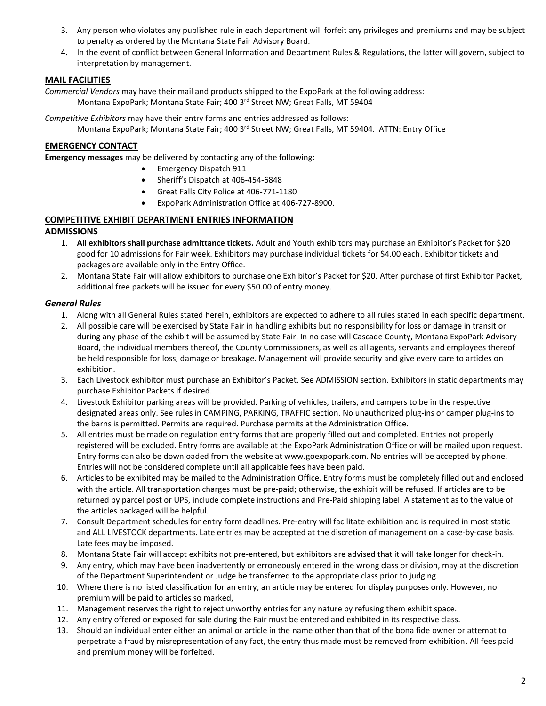- 3. Any person who violates any published rule in each department will forfeit any privileges and premiums and may be subject to penalty as ordered by the Montana State Fair Advisory Board.
- 4. In the event of conflict between General Information and Department Rules & Regulations, the latter will govern, subject to interpretation by management.

### **MAIL FACILITIES**

*Commercial Vendors* may have their mail and products shipped to the ExpoPark at the following address: Montana ExpoPark; Montana State Fair; 400 3rd Street NW; Great Falls, MT 59404

*Competitive Exhibitors* may have their entry forms and entries addressed as follows:

Montana ExpoPark; Montana State Fair; 400 3rd Street NW; Great Falls, MT 59404. ATTN: Entry Office

### **EMERGENCY CONTACT**

**Emergency messages** may be delivered by contacting any of the following:

- Emergency Dispatch 911
- Sheriff's Dispatch at 406-454-6848
- Great Falls City Police at 406-771-1180
- ExpoPark Administration Office at 406-727-8900.

## **COMPETITIVE EXHIBIT DEPARTMENT ENTRIES INFORMATION**

#### **ADMISSIONS**

- 1. **All exhibitors shall purchase admittance tickets.** Adult and Youth exhibitors may purchase an Exhibitor's Packet for \$20 good for 10 admissions for Fair week. Exhibitors may purchase individual tickets for \$4.00 each. Exhibitor tickets and packages are available only in the Entry Office.
- 2. Montana State Fair will allow exhibitors to purchase one Exhibitor's Packet for \$20. After purchase of first Exhibitor Packet, additional free packets will be issued for every \$50.00 of entry money.

#### *General Rules*

- 1. Along with all General Rules stated herein, exhibitors are expected to adhere to all rules stated in each specific department.
- 2. All possible care will be exercised by State Fair in handling exhibits but no responsibility for loss or damage in transit or during any phase of the exhibit will be assumed by State Fair. In no case will Cascade County, Montana ExpoPark Advisory Board, the individual members thereof, the County Commissioners, as well as all agents, servants and employees thereof be held responsible for loss, damage or breakage. Management will provide security and give every care to articles on exhibition.
- 3. Each Livestock exhibitor must purchase an Exhibitor's Packet. See ADMISSION section. Exhibitors in static departments may purchase Exhibitor Packets if desired.
- 4. Livestock Exhibitor parking areas will be provided. Parking of vehicles, trailers, and campers to be in the respective designated areas only. See rules in CAMPING, PARKING, TRAFFIC section. No unauthorized plug-ins or camper plug-ins to the barns is permitted. Permits are required. Purchase permits at the Administration Office.
- 5. All entries must be made on regulation entry forms that are properly filled out and completed. Entries not properly registered will be excluded. Entry forms are available at the ExpoPark Administration Office or will be mailed upon request. Entry forms can also be downloaded from the website at www.goexpopark.com. No entries will be accepted by phone. Entries will not be considered complete until all applicable fees have been paid.
- 6. Articles to be exhibited may be mailed to the Administration Office. Entry forms must be completely filled out and enclosed with the article. All transportation charges must be pre-paid; otherwise, the exhibit will be refused. If articles are to be returned by parcel post or UPS, include complete instructions and Pre-Paid shipping label. A statement as to the value of the articles packaged will be helpful.
- 7. Consult Department schedules for entry form deadlines. Pre-entry will facilitate exhibition and is required in most static and ALL LIVESTOCK departments. Late entries may be accepted at the discretion of management on a case-by-case basis. Late fees may be imposed.
- 8. Montana State Fair will accept exhibits not pre-entered, but exhibitors are advised that it will take longer for check-in.
- 9. Any entry, which may have been inadvertently or erroneously entered in the wrong class or division, may at the discretion of the Department Superintendent or Judge be transferred to the appropriate class prior to judging.
- 10. Where there is no listed classification for an entry, an article may be entered for display purposes only. However, no premium will be paid to articles so marked,
- 11. Management reserves the right to reject unworthy entries for any nature by refusing them exhibit space.
- 12. Any entry offered or exposed for sale during the Fair must be entered and exhibited in its respective class.
- 13. Should an individual enter either an animal or article in the name other than that of the bona fide owner or attempt to perpetrate a fraud by misrepresentation of any fact, the entry thus made must be removed from exhibition. All fees paid and premium money will be forfeited.